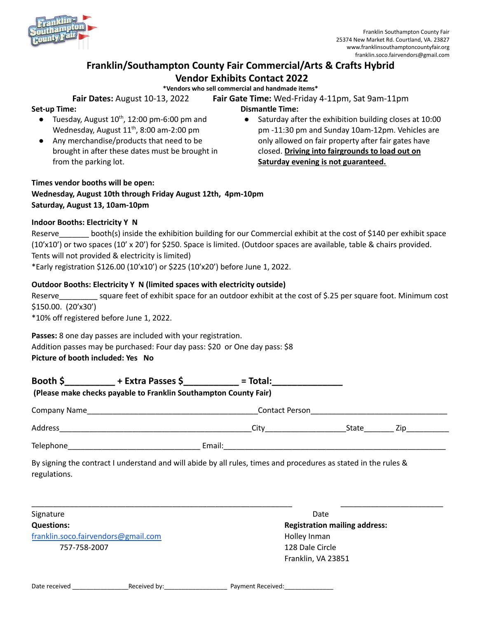

# **Franklin/Southampton County Fair Commercial/Arts & Crafts Hybrid Vendor Exhibits Contact 2022**

**\*Vendors who sell commercial and handmade items\***

**Fair Dates:** August 10-13, 2022 **Fair Gate Time:** Wed-Friday 4-11pm, Sat 9am-11pm

**Dismantle Time:**

#### **Set-up Time:**

- $\bullet$  Tuesday, August 10<sup>th</sup>, 12:00 pm-6:00 pm and Wednesday, August  $11^{th}$ , 8:00 am-2:00 pm
- Any merchandise/products that need to be brought in after these dates must be brought in from the parking lot.
- Saturday after the exhibition building closes at 10:00 pm -11:30 pm and Sunday 10am-12pm. Vehicles are only allowed on fair property after fair gates have closed. **Driving into fairgrounds to load out on Saturday evening is not guaranteed.**

### **Times vendor booths will be open: Wednesday, August 10th through Friday August 12th, 4pm-10pm Saturday, August 13, 10am-10pm**

#### **Indoor Booths: Electricity Y N**

Reserve \_\_\_\_\_\_\_ booth(s) inside the exhibition building for our Commercial exhibit at the cost of \$140 per exhibit space (10'x10') or two spaces (10' x 20') for \$250. Space is limited. (Outdoor spaces are available, table & chairs provided. Tents will not provided & electricity is limited)

\*Early registration \$126.00 (10'x10') or \$225 (10'x20') before June 1, 2022.

#### **Outdoor Booths: Electricity Y N (limited spaces with electricity outside)**

Reserve square feet of exhibit space for an outdoor exhibit at the cost of \$.25 per square foot. Minimum cost \$150.00. (20'x30')

\*10% off registered before June 1, 2022.

**Passes:** 8 one day passes are included with your registration. Addition passes may be purchased: Four day pass: \$20 or One day pass: \$8 **Picture of booth included: Yes No**

|                                                                  | Booth \$______________+ Extra Passes \$_____________= Total:______________________                              |  |                                      |               |
|------------------------------------------------------------------|-----------------------------------------------------------------------------------------------------------------|--|--------------------------------------|---------------|
| (Please make checks payable to Franklin Southampton County Fair) |                                                                                                                 |  |                                      |               |
|                                                                  |                                                                                                                 |  |                                      |               |
|                                                                  |                                                                                                                 |  | City State State                     | Zip__________ |
|                                                                  |                                                                                                                 |  |                                      |               |
| regulations.                                                     | By signing the contract I understand and will abide by all rules, times and procedures as stated in the rules & |  |                                      |               |
| Signature                                                        |                                                                                                                 |  | Date                                 |               |
| <b>Questions:</b>                                                |                                                                                                                 |  | <b>Registration mailing address:</b> |               |
| franklin.soco.fairvendors@gmail.com                              |                                                                                                                 |  | Holley Inman                         |               |
| 757-758-2007                                                     |                                                                                                                 |  | 128 Dale Circle                      |               |

Franklin, VA 23851